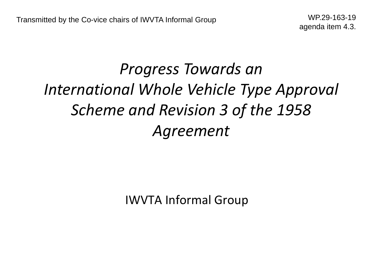# *Progress Towards an International Whole Vehicle Type Approval Scheme and Revision 3 of the 1958 Agreement*

IWVTA Informal Group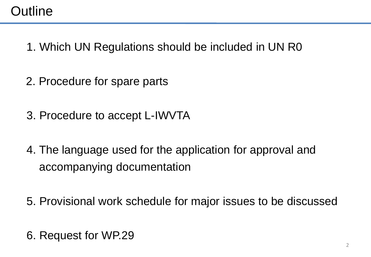# **Outline**

- 1. Which UN Regulations should be included in UN R0
- 2. Procedure for spare parts
- 3. Procedure to accept L-IWVTA
- 4. The language used for the application for approval and accompanying documentation
- 5. Provisional work schedule for major issues to be discussed
- 6. Request for WP.29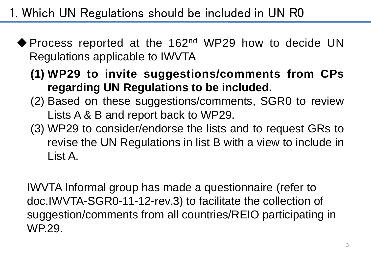1. Which UN Regulations should be included in UN R0

- ◆ Process reported at the 162<sup>nd</sup> WP29 how to decide UN Regulations applicable to IWVTA
	- **(1) WP29 to invite suggestions/comments from CPs regarding UN Regulations to be included.**
	- (2) Based on these suggestions/comments, SGR0 to review Lists A & B and report back to WP29.
	- (3) WP29 to consider/endorse the lists and to request GRs to revise the UN Regulations in list B with a view to include in List A.

IWVTA Informal group has made a questionnaire (refer to doc.IWVTA-SGR0-11-12-rev.3) to facilitate the collection of suggestion/comments from all countries/REIO participating in WP.29.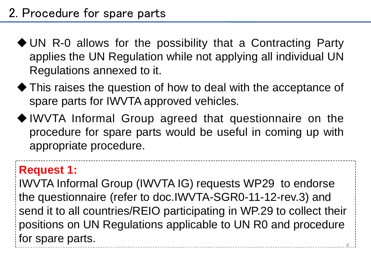- UN R-0 allows for the possibility that a Contracting Party applies the UN Regulation while not applying all individual UN Regulations annexed to it.
- This raises the question of how to deal with the acceptance of spare parts for IWVTA approved vehicles.
- IWVTA Informal Group agreed that questionnaire on the procedure for spare parts would be useful in coming up with appropriate procedure.

# **Request 1:**

4 IWVTA Informal Group (IWVTA IG) requests WP29 to endorse the questionnaire (refer to doc.IWVTA-SGR0-11-12-rev.3) and send it to all countries/REIO participating in WP.29 to collect their positions on UN Regulations applicable to UN R0 and procedure for spare parts.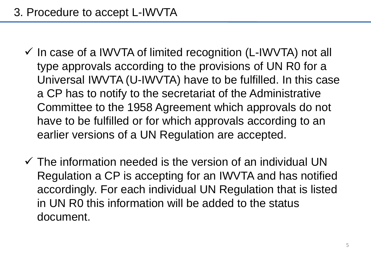- $\checkmark$  In case of a IWVTA of limited recognition (L-IWVTA) not all type approvals according to the provisions of UN R0 for a Universal IWVTA (U-IWVTA) have to be fulfilled. In this case a CP has to notify to the secretariat of the Administrative Committee to the 1958 Agreement which approvals do not have to be fulfilled or for which approvals according to an earlier versions of a UN Regulation are accepted.
- $\checkmark$  The information needed is the version of an individual UN Regulation a CP is accepting for an IWVTA and has notified accordingly. For each individual UN Regulation that is listed in UN R0 this information will be added to the status document.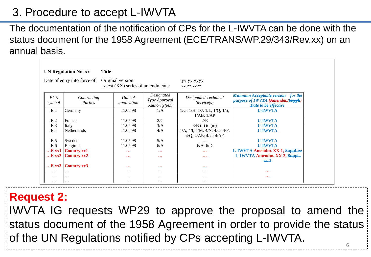# 3. Procedure to accept L-IWVTA

The documentation of the notification of CPs for the L-IWVTA can be done with the status document for the 1958 Agreement (ECE/TRANS/WP.29/343/Rev.xx) on an annual basis.

| <b>Title</b><br><b>UN Regulation No. xx</b> |                             |                                                        |                                               |                                                                     |                                                                                                        |  |  |  |  |  |  |
|---------------------------------------------|-----------------------------|--------------------------------------------------------|-----------------------------------------------|---------------------------------------------------------------------|--------------------------------------------------------------------------------------------------------|--|--|--|--|--|--|
| Date of entry into force of:                |                             | Original version:<br>Latest (XX) series of amendments: |                                               | yy.yy.yyyy<br>ZZ.ZZ.ZZZZ                                            |                                                                                                        |  |  |  |  |  |  |
| ECE<br>symbol                               | Contracting<br>Parties      | Date of<br>application                                 | Designated<br>Type Approval<br>Authority(ies) | <b>Designated Technical</b><br>Service(s)                           | <b>Minimum Acceptable version</b> for the<br>purpose of IWVTA (Amendm./Suppl.)<br>Date to be effective |  |  |  |  |  |  |
| E <sub>1</sub>                              | Germany                     | 11.05.98                                               | 1/A                                           | $1/G$ ; $1/H$ ; $1/J$ ; $1/L$ ; $1/Q$ ; $1/S$ ;<br>$1/AB$ ; $1/AP$  | <b>U-IWVTA</b>                                                                                         |  |  |  |  |  |  |
| E <sub>2</sub>                              | France                      | 11.05.98                                               | 2/C                                           | 2/E                                                                 | <b>U-IWVTA</b>                                                                                         |  |  |  |  |  |  |
| E <sub>3</sub><br>E <sub>4</sub>            | Italy<br><b>Netherlands</b> | 11.05.98<br>11.05.98                                   | 3/A<br>4/A                                    | $3/B$ (a) to (m)<br>$4/A$ ; $4/I$ ; $4/M$ ; $4/N$ ; $4/O$ ; $4/P$ ; | <b>U-IWVTA</b><br><b>U-IWVTA</b>                                                                       |  |  |  |  |  |  |
|                                             |                             |                                                        |                                               | $4/Q$ ; $4/AE$ ; $4/U$ ; $4/AF$                                     |                                                                                                        |  |  |  |  |  |  |
| E <sub>5</sub>                              | Sweden                      | 11.05.98                                               | 5/A                                           | $\cdots$                                                            | <b>U-IWVTA</b>                                                                                         |  |  |  |  |  |  |
| E 6                                         | Belgium                     | 11.05.98                                               | 6/A                                           | $6/A$ ; $6/D$                                                       | <b>U-IWVTA</b>                                                                                         |  |  |  |  |  |  |
| E xx1                                       | <b>Country xx1</b>          | $\ddotsc$                                              | $\cdots$                                      | $\bullet\bullet\bullet$                                             | L-IWVTA Amendm. XX-1, Suppl. 22                                                                        |  |  |  |  |  |  |
| $E$ xx2                                     | <b>Country xx2</b>          | $\ddotsc$                                              | $\cdots$                                      | $\cdots$                                                            | L-IWVTA Amendm. XX-2, Suppl-                                                                           |  |  |  |  |  |  |
|                                             |                             |                                                        |                                               |                                                                     | $-1$                                                                                                   |  |  |  |  |  |  |
| $E$ xx3                                     | <b>Country xx3</b>          | $\ddotsc$                                              | $\cdots$                                      | $\bullet\bullet\bullet$                                             |                                                                                                        |  |  |  |  |  |  |
| $\cdots$                                    | .                           | $\cdots$                                               | .                                             | $\cdots$                                                            | $\cdots$                                                                                               |  |  |  |  |  |  |
| .                                           | .                           | $\cdots$                                               | .                                             | .                                                                   | $\bullet\bullet\bullet$                                                                                |  |  |  |  |  |  |
| $\cdots$                                    | .                           | $\cdots$                                               | $\cdots$                                      | $\cdots$                                                            |                                                                                                        |  |  |  |  |  |  |

## **Request 2:**

6 IWVTA IG requests WP29 to approve the proposal to amend the status document of the 1958 Agreement in order to provide the status of the UN Regulations notified by CPs accepting L-IWVTA.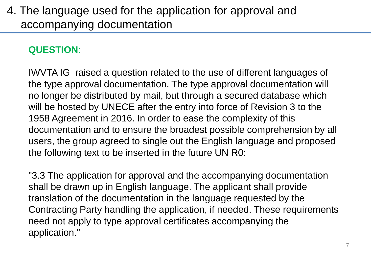## 4. The language used for the application for approval and accompanying documentation

#### **QUESTION**:

IWVTA IG raised a question related to the use of different languages of the type approval documentation. The type approval documentation will no longer be distributed by mail, but through a secured database which will be hosted by UNECE after the entry into force of Revision 3 to the 1958 Agreement in 2016. In order to ease the complexity of this documentation and to ensure the broadest possible comprehension by all users, the group agreed to single out the English language and proposed the following text to be inserted in the future UN R0:

"3.3 The application for approval and the accompanying documentation shall be drawn up in English language. The applicant shall provide translation of the documentation in the language requested by the Contracting Party handling the application, if needed. These requirements need not apply to type approval certificates accompanying the application."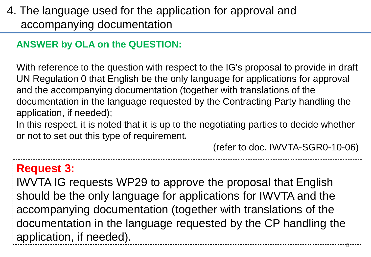# 4. The language used for the application for approval and accompanying documentation

#### **ANSWER by OLA on the QUESTION:**

With reference to the question with respect to the IG's proposal to provide in draft UN Regulation 0 that English be the only language for applications for approval and the accompanying documentation (together with translations of the documentation in the language requested by the Contracting Party handling the application, if needed);

In this respect, it is noted that it is up to the negotiating parties to decide whether or not to set out this type of requirement**.**

(refer to doc. IWVTA-SGR0-10-06)

### **Request 3:**

8 IWVTA IG requests WP29 to approve the proposal that English should be the only language for applications for IWVTA and the accompanying documentation (together with translations of the documentation in the language requested by the CP handling the application, if needed).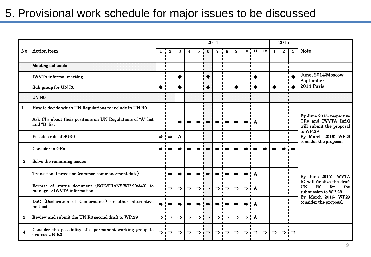## 5. Provisional work schedule for major issues to be discussed

|                         |                                                                                  | 2014            |                                                         |                               |                         |                 |                             |                 |                             |                             |                             | 2015                        |                 |               |               |               |                                                                                                                                                |  |
|-------------------------|----------------------------------------------------------------------------------|-----------------|---------------------------------------------------------|-------------------------------|-------------------------|-----------------|-----------------------------|-----------------|-----------------------------|-----------------------------|-----------------------------|-----------------------------|-----------------|---------------|---------------|---------------|------------------------------------------------------------------------------------------------------------------------------------------------|--|
| <b>No</b>               | Action item                                                                      | $1 \cdot$       | $\bf{2}$                                                | $\frac{1}{2}$ 3               | $\overline{\mathbf{4}}$ | 5               | $6\phantom{1}6$             |                 | 8                           | 9                           |                             | $10 \cdot 11$               | $\overline{12}$ | $\mathbf{1}$  | $\bf{2}$      | $\bf{3}$      | <b>Note</b>                                                                                                                                    |  |
|                         | <b>Meeting schedule</b>                                                          |                 |                                                         |                               |                         |                 |                             |                 |                             |                             |                             |                             |                 |               |               |               |                                                                                                                                                |  |
|                         | <b>IWVTA</b> informal meeting<br>Sub-group for UN R0                             |                 |                                                         | $\blacksquare$<br>$\bullet$   |                         |                 | $\blacklozenge$             |                 |                             |                             |                             | $\bullet$                   | $\blacksquare$  |               |               | ▲             | June, 2014:Moscow<br>September,                                                                                                                |  |
|                         |                                                                                  |                 |                                                         |                               |                         |                 | $\blacklozenge$             |                 |                             |                             |                             | $\blacklozenge$             |                 |               |               |               | 2014: Paris                                                                                                                                    |  |
|                         | UN RO                                                                            |                 |                                                         |                               |                         |                 |                             |                 |                             |                             |                             |                             |                 |               |               |               |                                                                                                                                                |  |
| $\mathbf{1}$            | How to decide which UN Regulations to include in UN R0                           |                 |                                                         |                               |                         |                 |                             |                 |                             |                             |                             |                             |                 |               |               |               |                                                                                                                                                |  |
|                         | Ask CPs about their positions on UN Regulations of "A" list<br>and "B" list      |                 |                                                         | $\Rightarrow$                 | $\Rightarrow$ i         | $\Rightarrow$ i | $\Rightarrow$               | $\Rightarrow$ i | $\Rightarrow i \Rightarrow$ |                             | $\Rightarrow$ i A           |                             |                 |               |               |               | By June 2015: respective<br>GRs and IWVTA Inf.G<br>will submit the proposal                                                                    |  |
|                         | Possible role of SGR0                                                            |                 | $\Rightarrow$ ! $\Rightarrow$ ! A                       |                               |                         |                 |                             |                 |                             |                             |                             |                             |                 |               |               |               | to WP.29<br>By March 2016: WP29<br>consider the proposal                                                                                       |  |
|                         | <b>Consider in GRs</b>                                                           |                 | $\Rightarrow$ $\Rightarrow$ $\rightarrow$ $\rightarrow$ | $\Rightarrow$                 | $\Rightarrow$ 1         |                 | $\Rightarrow$ $\Rightarrow$ | $\Rightarrow$ 1 | $\Rightarrow$ $\Rightarrow$ |                             |                             | $\Rightarrow$ $\Rightarrow$ | $\Rightarrow$   | $\Rightarrow$ | $\Rightarrow$ | $\Rightarrow$ |                                                                                                                                                |  |
| $\mathbf{2}$            | Solve the remaining issues                                                       |                 |                                                         |                               |                         |                 |                             |                 |                             |                             |                             |                             |                 |               |               |               |                                                                                                                                                |  |
|                         | Transitional provision (common commencement date)                                |                 | $\Rightarrow$ !                                         | $\Rightarrow$                 | $\Rightarrow$ !         | $\Rightarrow$   | $\Rightarrow$               | $\Rightarrow$ ! | $\Rightarrow$ $\Rightarrow$ |                             | $\Rightarrow$ !             | A <sup>T</sup>              |                 |               |               |               | By June 2015: IWVTA                                                                                                                            |  |
|                         | Format of status document (ECE/TRANS/WP.29/343) to<br>manage L-IWVTA information |                 | $\Rightarrow$                                           | $\Rightarrow$                 | $\Rightarrow$ i         |                 | $\Rightarrow$               | $\Rightarrow$ i |                             | $\Rightarrow i \Rightarrow$ | $\Rightarrow$ i             |                             |                 |               |               |               | IG will finalize the draft<br>R <sub>0</sub><br>for<br><b>UN</b><br>the<br>submission to WP.29<br>By March 2016: WP29<br>consider the proposal |  |
|                         | DoC (Declaration of Conformance) or other alternative<br>method                  |                 | $\Rightarrow$ $\Rightarrow$ $\Rightarrow$               | $\mathbf{I}$<br>$\Rightarrow$ | $\Rightarrow$ !         |                 | $\Rightarrow$               | $\Rightarrow$ ! | $\Rightarrow$ $\Rightarrow$ |                             | $\Rightarrow$ $\frac{1}{1}$ | A <sup>T</sup>              |                 |               |               |               |                                                                                                                                                |  |
| -3                      | Review and submit the UN R0 second draft to WP.29                                | $\Rightarrow$ ! | $\Rightarrow$                                           | $\Rightarrow$                 | $\Rightarrow$ !         | $\Rightarrow$   | $\Rightarrow$               | $\Rightarrow$ ! | $\Rightarrow$ $\Rightarrow$ |                             | $\Rightarrow$ $\frac{1}{1}$ | A <sup>T</sup>              |                 |               |               |               |                                                                                                                                                |  |
| $\overline{\mathbf{4}}$ | Consider the possibility of a permanent working group to<br>oversee UN RO        |                 | $\blacksquare$<br>⇒ ⊥⇒ ⊥⇒                               |                               | $\Rightarrow$ 1         |                 | $\Rightarrow$ $\Rightarrow$ | $\Rightarrow$ 1 | $\Rightarrow$ $\Rightarrow$ |                             |                             | $\Rightarrow$ $\Rightarrow$ | $\Rightarrow$   | $\Rightarrow$ |               | $\Rightarrow$ |                                                                                                                                                |  |